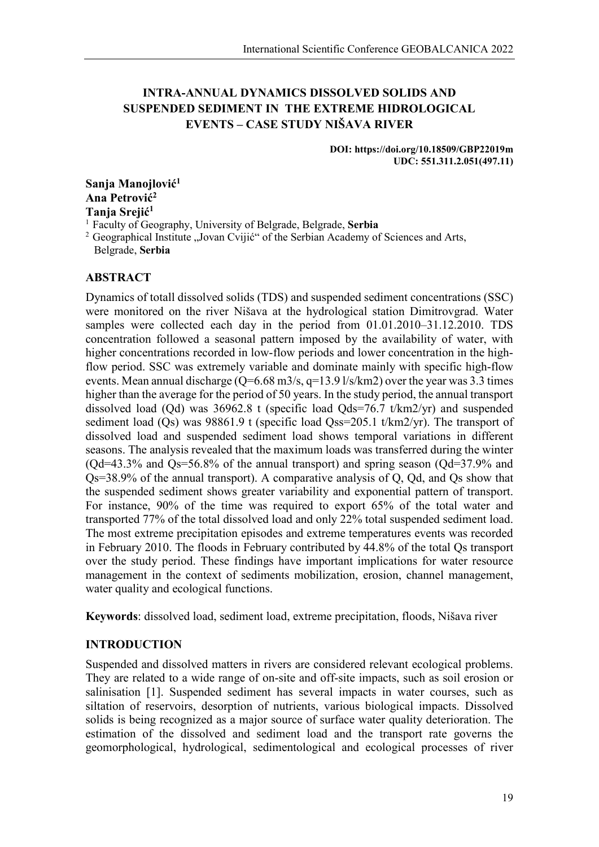# **INTRA-ANNUAL DYNAMICS DISSOLVED SOLIDS AND SUSPENDED SEDIMENT IN THE EXTREME HIDROLOGICAL EVENTS – CASE STUDY NIŠAVA RIVER**

**DOI: https://doi.org/10.18509/GBP22019m UDC: 551.311.2.051(497.11)**

**Sanja Manojlović<sup>1</sup> Ana Petrović<sup>2</sup> Tanja Srejić<sup>1</sup>**

<sup>1</sup> Faculty of Geography, University of Belgrade, Belgrade, **Serbia**

<sup>2</sup> Geographical Institute "Jovan Cvijić" of the Serbian Academy of Sciences and Arts, Belgrade, **Serbia**

# **ABSTRACT**

Dynamics of totall dissolved solids (TDS) and suspended sediment concentrations (SSC) were monitored on the river Nišava at the hydrological station Dimitrovgrad. Water samples were collected each day in the period from 01.01.2010–31.12.2010. TDS concentration followed a seasonal pattern imposed by the availability of water, with higher concentrations recorded in low-flow periods and lower concentration in the highflow period. SSC was extremely variable and dominate mainly with specific high-flow events. Mean annual discharge  $(Q=6.68 \text{ m}^3/\text{s}, q=13.9 \frac{\text{1}}{\text{s}}/\text{km}^2)$  over the year was 3.3 times higher than the average for the period of 50 years. In the study period, the annual transport dissolved load (Qd) was 36962.8 t (specific load Qds=76.7 t/km2/yr) and suspended sediment load (Qs) was 98861.9 t (specific load Qss=205.1 t/km2/yr). The transport of dissolved load and suspended sediment load shows temporal variations in different seasons. The analysis revealed that the maximum loads was transferred during the winter  $\left(Qd=43.3\right)$ % and  $Qs=56.8\%$  of the annual transport) and spring season  $\left(Qd=37.9\%$  and Qs=38.9% of the annual transport). A comparative analysis of Q, Qd, and Qs show that the suspended sediment shows greater variability and exponential pattern of transport. For instance, 90% of the time was required to export 65% of the total water and transported 77% of the total dissolved load and only 22% total suspended sediment load. The most extreme precipitation episodes and extreme temperatures events was recorded in February 2010. The floods in February contributed by 44.8% of the total Qs transport over the study period. These findings have important implications for water resource management in the context of sediments mobilization, erosion, channel management, water quality and ecological functions.

**Keywords**: dissolved load, sediment load, extreme precipitation, floods, Nišava river

# **INTRODUCTION**

Suspended and dissolved matters in rivers are considered relevant ecological problems. They are related to a wide range of on-site and off-site impacts, such as soil erosion or salinisation [1]. Suspended sediment has several impacts in water courses, such as siltation of reservoirs, desorption of nutrients, various biological impacts. Dissolved solids is being recognized as a major source of surface water quality deterioration. The estimation of the dissolved and sediment load and the transport rate governs the geomorphological, hydrological, sedimentological and ecological processes of river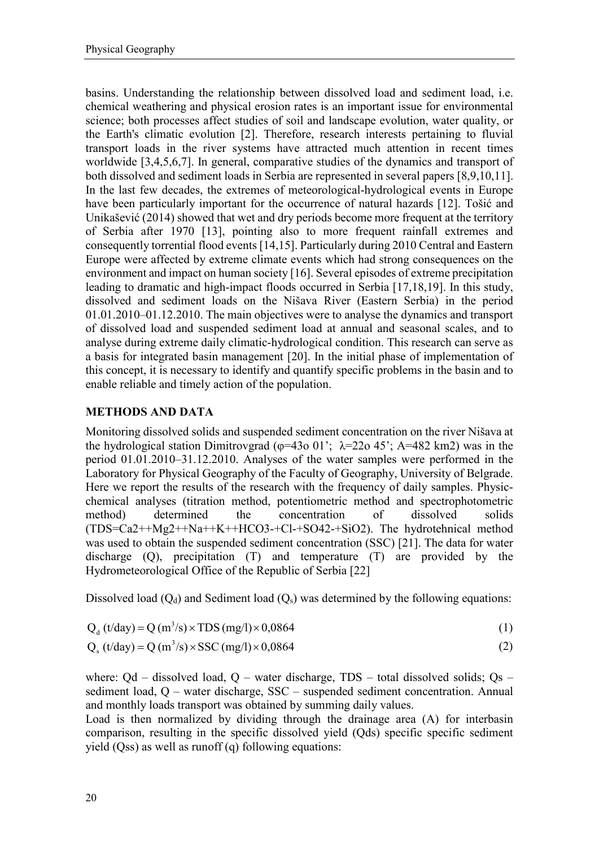basins. Understanding the relationship between dissolved load and sediment load, i.e. chemical weathering and physical erosion rates is an important issue for environmental science; both processes affect studies of soil and landscape evolution, water quality, or the Earth's climatic evolution [2]. Therefore, research interests pertaining to fluvial transport loads in the river systems have attracted much attention in recent times worldwide [3,4,5,6,7]. In general, comparative studies of the dynamics and transport of both dissolved and sediment loads in Serbia are represented in several papers [8,9,10,11]. In the last few decades, the extremes of meteorological-hydrological events in Europe have been particularly important for the occurrence of natural hazards [12]. Tošić and Unikašević (2014) showed that wet and dry periods become more frequent at the territory of Serbia after 1970 [13], pointing also to more frequent rainfall extremes and consequently torrential flood events [14,15]. Particularly during 2010 Central and Eastern Europe were affected by extreme climate events which had strong consequences on the environment and impact on human society [16]. Several episodes of extreme precipitation leading to dramatic and high-impact floods occurred in Serbia [17,18,19]. In this study, dissolved and sediment loads on the Nišava River (Eastern Serbia) in the period 01.01.2010–01.12.2010. The main objectives were to analyse the dynamics and transport of dissolved load and suspended sediment load at annual and seasonal scales, and to analyse during extreme daily climatic-hydrological condition. This research can serve as a basis for integrated basin management [20]. In the initial phase of implementation of this concept, it is necessary to identify and quantify specific problems in the basin and to enable reliable and timely action of the population.

# **METHODS AND DATA**

Monitoring dissolved solids and suspended sediment concentration on the river Nišava at the hydrological station Dimitrovgrad ( $\varphi$ =43o 01';  $\lambda$ =22o 45'; A=482 km2) was in the period 01.01.2010–31.12.2010. Analyses of the water samples were performed in the Laboratory for Physical Geography of the Faculty of Geography, University of Belgrade. Here we report the results of the research with the frequency of daily samples. Physicchemical analyses (titration method, potentiometric method and spectrophotometric method) determined the concentration of dissolved solids (TDS=Ca2++Mg2++Na++K++HCO3-+Cl-+SO42-+SiO2). The hydrotehnical method was used to obtain the suspended sediment concentration (SSC) [21]. The data for water discharge (Q), precipitation (T) and temperature (T) are provided by the Hydrometeorological Office of the Republic of Serbia [22]

Dissolved load  $(Q_d)$  and Sediment load  $(Q_s)$  was determined by the following equations:

$$
Qd (t/day) = Q (m3/s) \times TDS (mg/l) \times 0,0864
$$
 (1)

$$
Q_s (t/day) = Q (m3/s) \times SSC (mg/l) \times 0,0864
$$
 (2)

where:  $Qd - dissolved load$ ,  $Q - water discharge$ ,  $TDS - total dissolved solids$ ;  $Os$ sediment load, Q – water discharge, SSC – suspended sediment concentration. Annual and monthly loads transport was obtained by summing daily values.

Load is then normalized by dividing through the drainage area (A) for interbasin comparison, resulting in the specific dissolved yield (Qds) specific specific sediment yield (Qss) as well as runoff (q) following equations: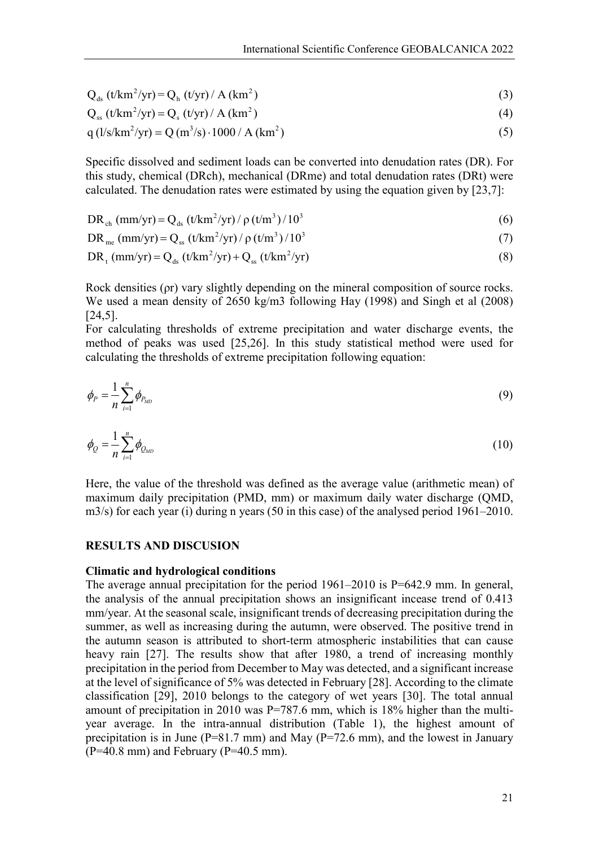$$
Q_{ds} (t/km^2/yr) = Q_h (t/yr) / A (km^2)
$$
 (3)

$$
Q_{ss} (t/km^2/yr) = Q_s (t/yr) / A (km^2)
$$
 (4)

$$
q (1/s/km2/yr) = Q (m3/s) \cdot 1000 / A (km2)
$$
 (5)

Specific dissolved and sediment loads can be converted into denudation rates (DR). For this study, chemical (DRch), mechanical (DRme) and total denudation rates (DRt) were calculated. The denudation rates were estimated by using the equation given by [23,7]:

$$
DR_{ch} (mm/yr) = Q_{ds} (t/km^{2}/yr) / \rho (t/m^{3}) / 10^{3}
$$
 (6)

$$
DRme (mm/yr) = Qss (t/km2/yr) / \rho (t/m3) / 103
$$
 (7)

$$
DR_{t} (mm/yr) = Q_{ds} (t/km^{2}/yr) + Q_{ss} (t/km^{2}/yr)
$$
\n(8)

Rock densities (ρr) vary slightly depending on the mineral composition of source rocks. We used a mean density of 2650 kg/m3 following Hay (1998) and Singh et al (2008) [24,5].

For calculating thresholds of extreme precipitation and water discharge events, the method of peaks was used [25,26]. In this study statistical method were used for calculating the thresholds of extreme precipitation following equation:

$$
\phi_P = \frac{1}{n} \sum_{i=1}^n \phi_{P_{MD}} \tag{9}
$$

$$
\phi_Q = \frac{1}{n} \sum_{i=1}^n \phi_{Q_{MD}} \tag{10}
$$

Here, the value of the threshold was defined as the average value (arithmetic mean) of maximum daily precipitation (PMD, mm) or maximum daily water discharge (QMD, m3/s) for each year (i) during n years (50 in this case) of the analysed period 1961–2010.

## **RESULTS AND DISCUSION**

#### **Climatic and hydrological conditions**

The average annual precipitation for the period 1961–2010 is P=642.9 mm. In general, the analysis of the annual precipitation shows an insignificant incease trend of 0.413 mm/year. At the seasonal scale, insignificant trends of decreasing precipitation during the summer, as well as increasing during the autumn, were observed. The positive trend in the autumn season is attributed to short-term atmospheric instabilities that can cause heavy rain [27]. The results show that after 1980, a trend of increasing monthly precipitation in the period from December to May was detected, and a significant increase at the level of significance of 5% was detected in February [28]. According to the climate classification [29], 2010 belongs to the category of wet years [30]. The total annual amount of precipitation in 2010 was P=787.6 mm, which is 18% higher than the multiyear average. In the intra-annual distribution (Table 1), the highest amount of precipitation is in June ( $P=81.7$  mm) and May ( $P=72.6$  mm), and the lowest in January  $(P=40.8 \text{ mm})$  and February  $(P=40.5 \text{ mm})$ .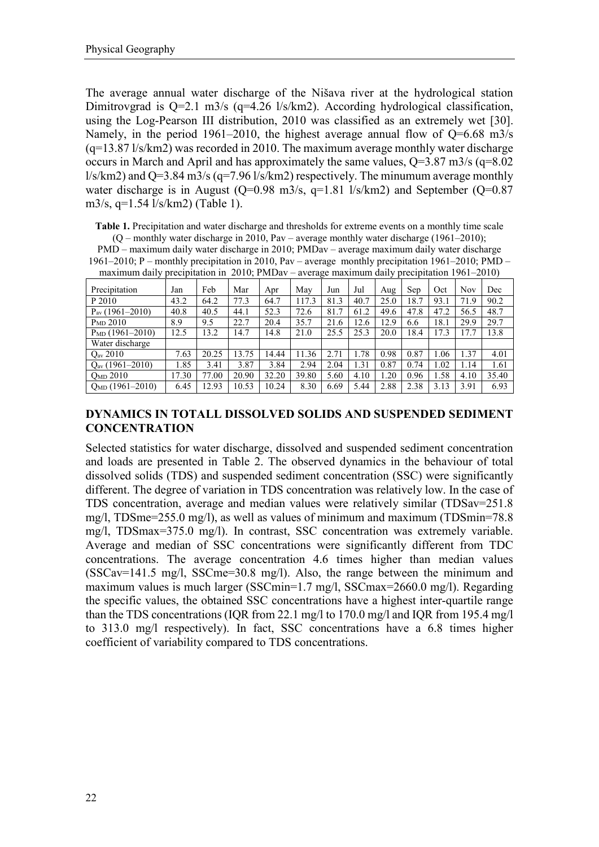The average annual water discharge of the Nišava river at the hydrological station Dimitrovgrad is Q=2.1 m3/s (q=4.26 l/s/km2). According hydrological classification, using the Log-Pearson III distribution, 2010 was classified as an extremely wet [30]. Namely, in the period 1961–2010, the highest average annual flow of  $Q=6.68$  m $3/s$ (q=13.87 l/s/km2) was recorded in 2010. The maximum average monthly water discharge occurs in March and April and has approximately the same values,  $Q=3.87$  m $3/s$  ( $q=8.02$ )  $\frac{1}{s}$  l/s/km2) and Q=3.84 m3/s (q=7.96 l/s/km2) respectively. The minumum average monthly water discharge is in August (Q=0.98 m3/s, q=1.81 l/s/km2) and September (Q=0.87 m3/s, q=1.54 l/s/km2) (Table 1).

**Table 1.** Precipitation and water discharge and thresholds for extreme events on a monthly time scale (Q – monthly water discharge in 2010, Pav – average monthly water discharge (1961–2010);

PMD – maximum daily water discharge in 2010; PMDav – average maximum daily water discharge 1961–2010; P – monthly precipitation in 2010, Pav – average monthly precipitation 1961–2010; PMD – maximum daily precipitation in 2010; PMDav – average maximum daily precipitation 1961–2010)

| Precipitation        | Jan   | Feb   | Mar   | Apr   | May   | Jun  | Jul  | Aug  | Sep  | Oct  | Nov  | Dec   |
|----------------------|-------|-------|-------|-------|-------|------|------|------|------|------|------|-------|
| P 2010               | 43.2  | 64.2  | 77.3  | 64.7  | 117.3 | 81.3 | 40.7 | 25.0 | 18.7 | 93.1 | 71.9 | 90.2  |
| $P_{av}$ (1961–2010) | 40.8  | 40.5  | 44.1  | 52.3  | 72.6  | 81.7 | 61.2 | 49.6 | 47.8 | 47.2 | 56.5 | 48.7  |
| P <sub>MD</sub> 2010 | 8.9   | 9.5   | 22.7  | 20.4  | 35.7  | 21.6 | 12.6 | 12.9 | 6.6  | 18.1 | 29.9 | 29.7  |
| $P_{MD}$ (1961-2010) | 12.5  | 13.2  | 14.7  | 14.8  | 21.0  | 25.5 | 25.3 | 20.0 | 18.4 | 17.3 | 17.7 | 13.8  |
| Water discharge      |       |       |       |       |       |      |      |      |      |      |      |       |
| $Q_{\rm av}$ 2010    | 7.63  | 20.25 | 13.75 | 14.44 | 11.36 | 2.71 | 1.78 | 0.98 | 0.87 | 1.06 | 1.37 | 4.01  |
| $Qav$ (1961–2010)    | 1.85  | 3.41  | 3.87  | 3.84  | 2.94  | 2.04 | 1.31 | 0.87 | 0.74 | 1.02 | 1.14 | 1.61  |
| $Q_{MD}$ 2010        | 17.30 | 77.00 | 20.90 | 32.20 | 39.80 | 5.60 | 4.10 | 1.20 | 0.96 | 1.58 | 4.10 | 35.40 |
| $Q_{MD}$ (1961-2010) | 6.45  | 12.93 | 10.53 | 10.24 | 8.30  | 6.69 | 5.44 | 2.88 | 2.38 | 3.13 | 3.91 | 6.93  |

# **DYNAMICS IN TOTALL DISSOLVED SOLIDS AND SUSPENDED SEDIMENT CONCENTRATION**

Selected statistics for water discharge, dissolved and suspended sediment concentration and loads are presented in Table 2. The observed dynamics in the behaviour of total dissolved solids (TDS) and suspended sediment concentration (SSC) were significantly different. The degree of variation in TDS concentration was relatively low. In the case of TDS concentration, average and median values were relatively similar (TDSav=251.8 mg/l, TDSme=255.0 mg/l), as well as values of minimum and maximum (TDSmin=78.8 mg/l, TDSmax=375.0 mg/l). In contrast, SSC concentration was extremely variable. Average and median of SSC concentrations were significantly different from TDC concentrations. The average concentration 4.6 times higher than median values  $(SSCav=141.5 \text{ mg/l}, SSCme=30.8 \text{ mg/l}).$  Also, the range between the minimum and maximum values is much larger (SSCmin=1.7 mg/l, SSCmax=2660.0 mg/l). Regarding the specific values, the obtained SSC concentrations have a highest inter-quartile range than the TDS concentrations (IQR from 22.1 mg/l to 170.0 mg/l and IQR from 195.4 mg/l to 313.0 mg/l respectively). In fact, SSC concentrations have a 6.8 times higher coefficient of variability compared to TDS concentrations.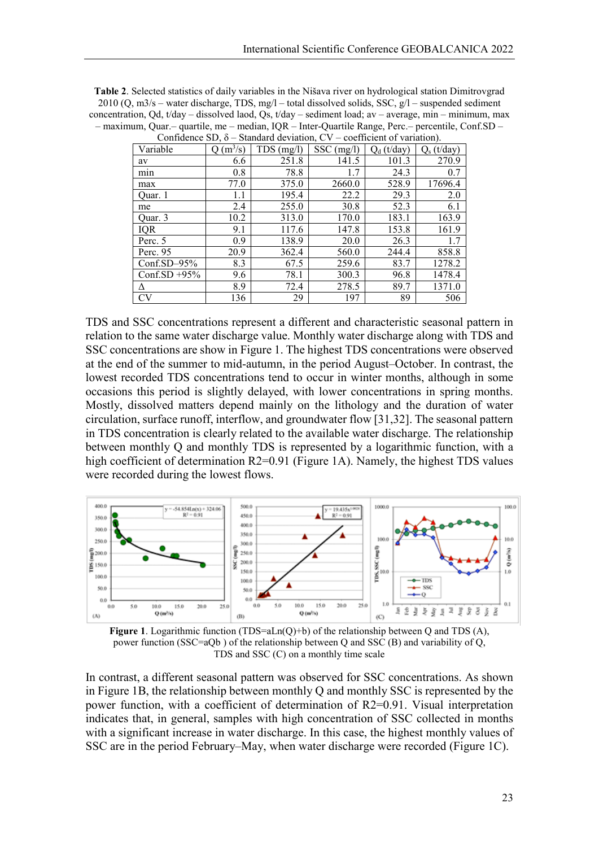| <b>Table 2.</b> Selected statistics of daily variables in the Nišava river on hydrological station Dimitrovgrad |
|-----------------------------------------------------------------------------------------------------------------|
| 2010 (Q, m3/s – water discharge, TDS, mg/l – total dissolved solids, SSC, $g/l$ – suspended sediment            |
| concentration, Qd, t/day – dissolved laod, Qs, t/day – sediment load; av – average, min – minimum, max          |
| - maximum, Quar.- quartile, me - median, IQR - Inter-Quartile Range, Perc.- percentile, Conf.SD -               |
| Confidence SD 8 Standard deviation CV coefficient of variation                                                  |

| Commune DD, 0   |                       | $50$ and $40$ and $140$ and $140$ and $140$ and $140$ and $140$ and $140$ and $140$ and $140$ and $140$ and $140$ and $140$ and $140$ and $140$ and $140$ and $140$ and $140$ and $140$ and $140$ and $140$ and $140$ and $14$ |              | $\alpha$      |                        |
|-----------------|-----------------------|--------------------------------------------------------------------------------------------------------------------------------------------------------------------------------------------------------------------------------|--------------|---------------|------------------------|
| Variable        | $(m^3/s)$<br>$\Omega$ | $TDS$ (mg/l)                                                                                                                                                                                                                   | $SSC$ (mg/l) | $Q_d$ (t/day) | (t/dav)<br>$Q_{\rm s}$ |
| av              | 6.6                   | 251.8                                                                                                                                                                                                                          | 141.5        | 101.3         | 270.9                  |
| min             | 0.8                   | 78.8                                                                                                                                                                                                                           | 1.7          | 24.3          | 0.7                    |
| max             | 77.0                  | 375.0                                                                                                                                                                                                                          | 2660.0       | 528.9         | 17696.4                |
| Ouar. 1         | 1.1                   | 195.4                                                                                                                                                                                                                          | 22.2         | 29.3          | 2.0                    |
| me              | 2.4                   | 255.0                                                                                                                                                                                                                          | 30.8         | 52.3          | 6.1                    |
| Quar. 3         | 10.2                  | 313.0                                                                                                                                                                                                                          | 170.0        | 183.1         | 163.9                  |
| <b>IQR</b>      | 9.1                   | 117.6                                                                                                                                                                                                                          | 147.8        | 153.8         | 161.9                  |
| Perc. 5         | 0.9                   | 138.9                                                                                                                                                                                                                          | 20.0         | 26.3          | 1.7                    |
| Perc. 95        | 20.9                  | 362.4                                                                                                                                                                                                                          | 560.0        | 244.4         | 858.8                  |
| Conf.SD $-95%$  | 8.3                   | 67.5                                                                                                                                                                                                                           | 259.6        | 83.7          | 1278.2                 |
| Conf.SD $+95\%$ | 9.6                   | 78.1                                                                                                                                                                                                                           | 300.3        | 96.8          | 1478.4                 |
| Δ               | 8.9                   | 72.4                                                                                                                                                                                                                           | 278.5        | 89.7          | 1371.0                 |
| CV              | 136                   | 29                                                                                                                                                                                                                             | 197          | 89            | 506                    |

TDS and SSC concentrations represent a different and characteristic seasonal pattern in relation to the same water discharge value. Monthly water discharge along with TDS and SSC concentrations are show in Figure 1. The highest TDS concentrations were observed at the end of the summer to mid-autumn, in the period August–October. In contrast, the lowest recorded TDS concentrations tend to occur in winter months, although in some occasions this period is slightly delayed, with lower concentrations in spring months. Mostly, dissolved matters depend mainly on the lithology and the duration of water circulation, surface runoff, interflow, and groundwater flow [31,32]. The seasonal pattern in TDS concentration is clearly related to the available water discharge. The relationship between monthly Q and monthly TDS is represented by a logarithmic function, with a high coefficient of determination R2=0.91 (Figure 1A). Namely, the highest TDS values were recorded during the lowest flows.





In contrast, a different seasonal pattern was observed for SSC concentrations. As shown in Figure 1B, the relationship between monthly Q and monthly SSC is represented by the power function, with a coefficient of determination of R2=0.91. Visual interpretation indicates that, in general, samples with high concentration of SSC collected in months with a significant increase in water discharge. In this case, the highest monthly values of SSC are in the period February–May, when water discharge were recorded (Figure 1C).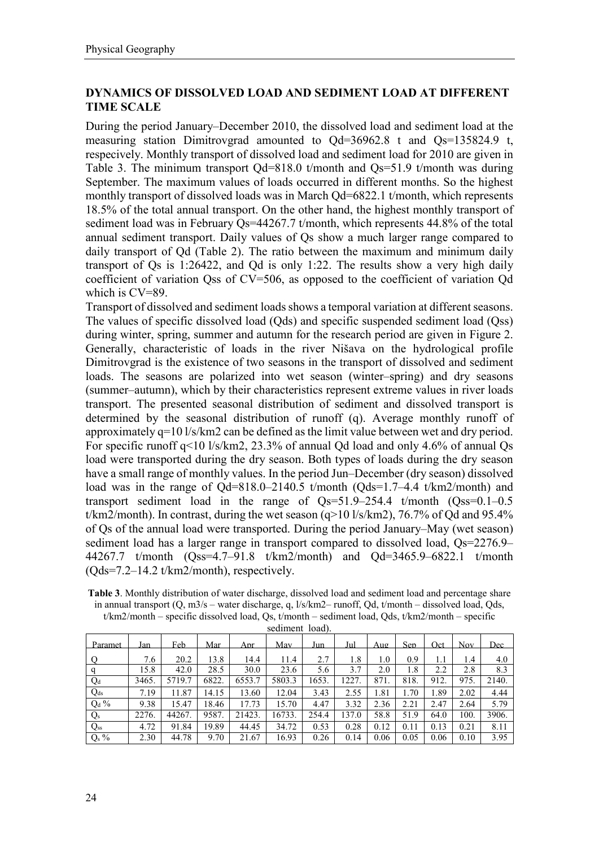# **DYNAMICS OF DISSOLVED LOAD AND SEDIMENT LOAD AT DIFFERENT TIME SCALE**

During the period January–December 2010, the dissolved load and sediment load at the measuring station Dimitrovgrad amounted to  $Qd=36962.8$  t and  $Qs=135824.9$  t, respecively. Monthly transport of dissolved load and sediment load for 2010 are given in Table 3. The minimum transport  $Qd=818.0$  t/month and  $Qs=51.9$  t/month was during September. The maximum values of loads occurred in different months. So the highest monthly transport of dissolved loads was in March Qd=6822.1 t/month, which represents 18.5% of the total annual transport. On the other hand, the highest monthly transport of sediment load was in February Qs=44267.7 t/month, which represents 44.8% of the total annual sediment transport. Daily values of Qs show a much larger range compared to daily transport of Od (Table 2). The ratio between the maximum and minimum daily transport of Qs is 1:26422, and Qd is only 1:22. The results show a very high daily coefficient of variation Qss of CV=506, as opposed to the coefficient of variation Qd which is CV=89.

Transport of dissolved and sediment loads shows a temporal variation at different seasons. The values of specific dissolved load (Qds) and specific suspended sediment load (Qss) during winter, spring, summer and autumn for the research period are given in Figure 2. Generally, characteristic of loads in the river Nišava on the hydrological profile Dimitrovgrad is the existence of two seasons in the transport of dissolved and sediment loads. The seasons are polarized into wet season (winter–spring) and dry seasons (summer–autumn), which by their characteristics represent extreme values in river loads transport. The presented seasonal distribution of sediment and dissolved transport is determined by the seasonal distribution of runoff (q). Average monthly runoff of approximately  $q=10$  l/s/km2 can be defined as the limit value between wet and dry period. For specific runoff q<10 l/s/km2, 23.3% of annual Qd load and only 4.6% of annual Qs load were transported during the dry season. Both types of loads during the dry season have a small range of monthly values. In the period Jun–December (dry season) dissolved load was in the range of Qd=818.0–2140.5 t/month (Qds=1.7–4.4 t/km2/month) and transport sediment load in the range of  $Qs=51.9-254.4$  t/month  $(Qss=0.1-0.5$ t/km2/month). In contrast, during the wet season (q>10 l/s/km2), 76.7% of Qd and 95.4% of Qs of the annual load were transported. During the period January–May (wet season) sediment load has a larger range in transport compared to dissolved load, Qs=2276.9– 44267.7 t/month (Qss=4.7–91.8 t/km2/month) and Qd=3465.9–6822.1 t/month  $(Qds=7.2-14.2 t/km2/month)$ , respectively.

**Table 3**. Monthly distribution of water discharge, dissolved load and sediment load and percentage share in annual transport (Q, m3/s – water discharge, q, l/s/km2– runoff, Qd, t/month – dissolved load, Qds, t/km2/month – specific dissolved load, Qs, t/month – sediment load, Qds, t/km2/month – specific

|                 |       |        |       |        | <b>SUMMOND</b> TUGG TO |       |       |      |      |      |      |       |
|-----------------|-------|--------|-------|--------|------------------------|-------|-------|------|------|------|------|-------|
| Paramet         | Jan   | Feb    | Mar   | Apr    | Mav                    | Jun   | Jul   | Aug  | Sen  | Oct  | Nov. | Dec   |
| O               | 7.6   | 20.2   | 13.8  | 14.4   | 11.4                   | 2.7   | 1.8   | 1.0  | 0.9  | IJ   | 1.4  | 4.0   |
| q               | 15.8  | 42.0   | 28.5  | 30.0   | 23.6                   | 5.6   | 3.7   | 2.0  | 1.8  | 2.2  | 2.8  | 8.3   |
| $Q_d$           | 3465. | 5719.7 | 6822. | 6553.7 | 5803.3                 | 1653. | 1227  | 871. | 818. | 912. | 975. | 2140. |
| Q <sub>ds</sub> | 7.19  | 11.87  | 14.15 | 13.60  | 12.04                  | 3.43  | 2.55  | 1.81 | 1.70 | 1.89 | 2.02 | 4.44  |
| $Q_d$ %         | 9.38  | 15.47  | 18.46 | 17.73  | 15.70                  | 4.47  | 3.32  | 2.36 | 2.21 | 2.47 | 2.64 | 5.79  |
| $Q_s$           | 2276. | 44267. | 9587. | 21423. | 16733.                 | 254.4 | 137.0 | 58.8 | 51.9 | 64.0 | 100. | 3906. |
| $Q_{ss}$        | 4.72  | 91.84  | 19.89 | 44.45  | 34.72                  | 0.53  | 0.28  | 0.12 | 0.11 | 0.13 | 0.21 | 8.11  |
| $Q_s$ %         | 2.30  | 44.78  | 9.70  | 21.67  | 16.93                  | 0.26  | 0.14  | 0.06 | 0.05 | 0.06 | 0.10 | 3.95  |

sediment load).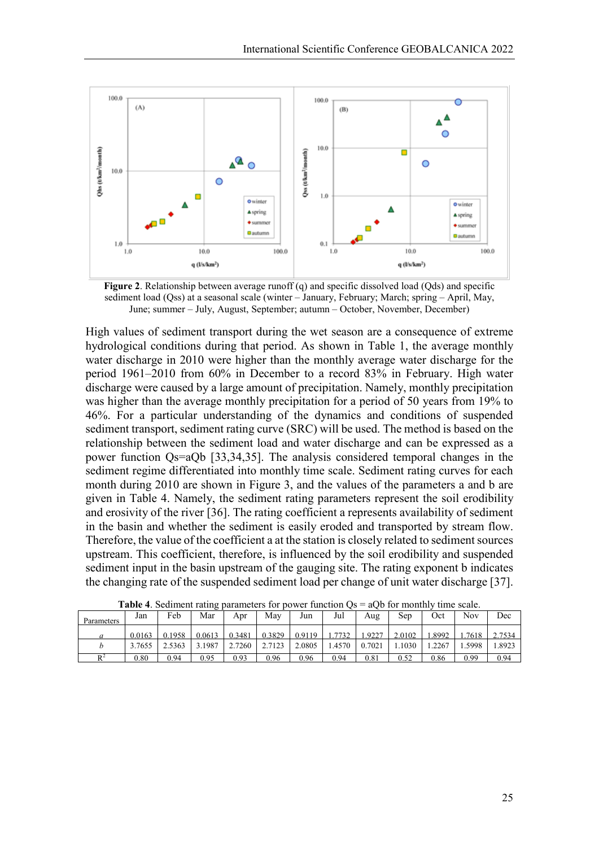

**Figure 2**. Relationship between average runoff (q) and specific dissolved load (Qds) and specific sediment load (Qss) at a seasonal scale (winter – January, February; March; spring – April, May, June; summer – July, August, September; autumn – October, November, December)

High values of sediment transport during the wet season are a consequence of extreme hydrological conditions during that period. As shown in Table 1, the average monthly water discharge in 2010 were higher than the monthly average water discharge for the period 1961–2010 from 60% in December to a record 83% in February. High water discharge were caused by a large amount of precipitation. Namely, monthly precipitation was higher than the average monthly precipitation for a period of 50 years from 19% to 46%. For a particular understanding of the dynamics and conditions of suspended sediment transport, sediment rating curve (SRC) will be used. The method is based on the relationship between the sediment load and water discharge and can be expressed as a power function Qs=aQb [33,34,35]. The analysis considered temporal changes in the sediment regime differentiated into monthly time scale. Sediment rating curves for each month during 2010 are shown in Figure 3, and the values of the parameters a and b are given in Table 4. Namely, the sediment rating parameters represent the soil erodibility and erosivity of the river [36]. The rating coefficient a represents availability of sediment in the basin and whether the sediment is easily eroded and transported by stream flow. Therefore, the value of the coefficient a at the station is closely related to sediment sources upstream. This coefficient, therefore, is influenced by the soil erodibility and suspended sediment input in the basin upstream of the gauging site. The rating exponent b indicates the changing rate of the suspended sediment load per change of unit water discharge [37].

| <b>Table 4.</b> Deciment fatting parameters for power failed by<br>$100 \pm 111$<br>umo soaio. |        |        |        |        |        |        |        |        |        |       |        |        |
|------------------------------------------------------------------------------------------------|--------|--------|--------|--------|--------|--------|--------|--------|--------|-------|--------|--------|
| Parameters                                                                                     | Jan    | Feb    | Mar    | Apr    | Mav    | Jun    | Jul    | Aug    | Sep    | Oct   | Nov    | Dec    |
| a                                                                                              | 0.0163 | 0.1958 | 0.0613 | 0.3481 | 0.3829 | 0.9119 | 1.7732 | .9227  | 2.0102 | .8992 | 1.7618 | 2.7534 |
|                                                                                                | 3.7655 | 2.5363 | 3.1987 | 2.7260 | 2.7123 | 2.0805 | 1.4570 | 0.7021 | .1030  | .2267 | .5998  | 1.8923 |
| D <sup>2</sup>                                                                                 | 0.80   | 0.94   | 0.95   | 0.93   | 0.96   | 0.96   | 0.94   | 0.81   | 0.52   | 0.86  | 0.99   | 0.94   |

**Table 4**. Sediment rating parameters for power function  $Qs = aQb$  for monthly time scale.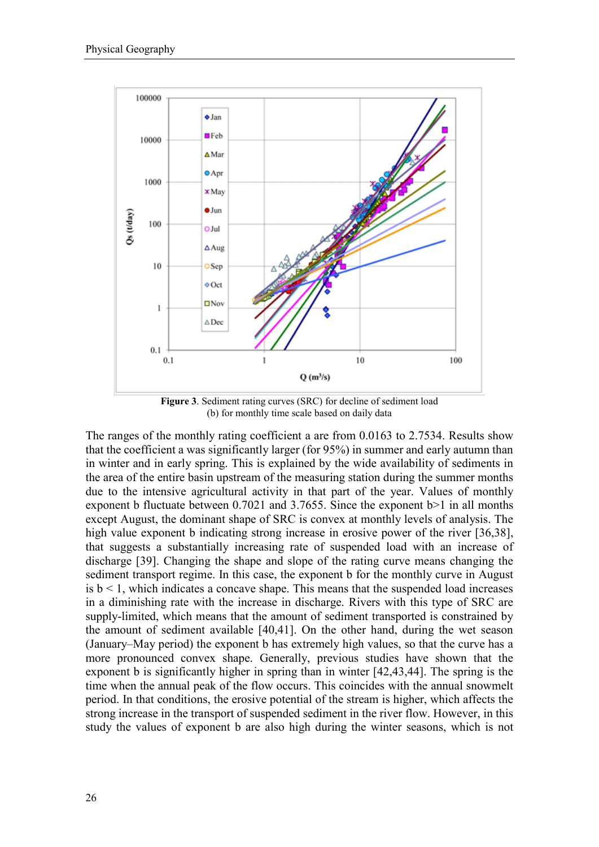

**Figure 3**. Sediment rating curves (SRC) for decline of sediment load (b) for monthly time scale based on daily data

The ranges of the monthly rating coefficient a are from 0.0163 to 2.7534. Results show that the coefficient a was significantly larger (for 95%) in summer and early autumn than in winter and in early spring. This is explained by the wide availability of sediments in the area of the entire basin upstream of the measuring station during the summer months due to the intensive agricultural activity in that part of the year. Values of monthly exponent b fluctuate between 0.7021 and 3.7655. Since the exponent b>1 in all months except August, the dominant shape of SRC is convex at monthly levels of analysis. The high value exponent b indicating strong increase in erosive power of the river [36,38], that suggests a substantially increasing rate of suspended load with an increase of discharge [39]. Changing the shape and slope of the rating curve means changing the sediment transport regime. In this case, the exponent b for the monthly curve in August is  $b < 1$ , which indicates a concave shape. This means that the suspended load increases in a diminishing rate with the increase in discharge. Rivers with this type of SRC are supply-limited, which means that the amount of sediment transported is constrained by the amount of sediment available [40,41]. On the other hand, during the wet season (January–May period) the exponent b has extremely high values, so that the curve has a more pronounced convex shape. Generally, previous studies have shown that the exponent b is significantly higher in spring than in winter [42,43,44]. The spring is the time when the annual peak of the flow occurs. This coincides with the annual snowmelt period. In that conditions, the erosive potential of the stream is higher, which affects the strong increase in the transport of suspended sediment in the river flow. However, in this study the values of exponent b are also high during the winter seasons, which is not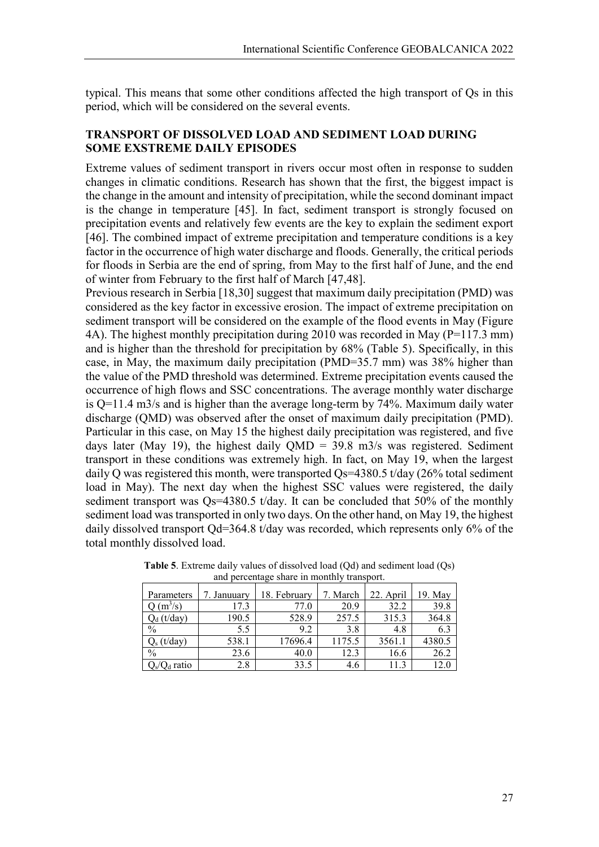typical. This means that some other conditions affected the high transport of Qs in this period, which will be considered on the several events.

## **TRANSPORT OF DISSOLVED LOAD AND SEDIMENT LOAD DURING SOME EXSTREME DAILY EPISODES**

Extreme values of sediment transport in rivers occur most often in response to sudden changes in climatic conditions. Research has shown that the first, the biggest impact is the change in the amount and intensity of precipitation, while the second dominant impact is the change in temperature [45]. In fact, sediment transport is strongly focused on precipitation events and relatively few events are the key to explain the sediment export [46]. The combined impact of extreme precipitation and temperature conditions is a key factor in the occurrence of high water discharge and floods. Generally, the critical periods for floods in Serbia are the end of spring, from May to the first half of June, and the end of winter from February to the first half of March [47,48].

Previous research in Serbia [18,30] suggest that maximum daily precipitation (PMD) was considered as the key factor in excessive erosion. The impact of extreme precipitation on sediment transport will be considered on the example of the flood events in May (Figure 4A). The highest monthly precipitation during 2010 was recorded in May (P=117.3 mm) and is higher than the threshold for precipitation by 68% (Table 5). Specifically, in this case, in May, the maximum daily precipitation (PMD=35.7 mm) was 38% higher than the value of the PMD threshold was determined. Extreme precipitation events caused the occurrence of high flows and SSC concentrations. The average monthly water discharge is Q=11.4 m3/s and is higher than the average long-term by 74%. Maximum daily water discharge (QMD) was observed after the onset of maximum daily precipitation (PMD). Particular in this case, on May 15 the highest daily precipitation was registered, and five days later (May 19), the highest daily  $QMD = 39.8$  m $3/s$  was registered. Sediment transport in these conditions was extremely high. In fact, on May 19, when the largest daily Q was registered this month, were transported Qs=4380.5 t/day (26% total sediment load in May). The next day when the highest SSC values were registered, the daily sediment transport was Qs=4380.5 t/day. It can be concluded that 50% of the monthly sediment load was transported in only two days. On the other hand, on May 19, the highest daily dissolved transport Qd=364.8 t/day was recorded, which represents only 6% of the total monthly dissolved load.

| Parameters      | 7. Januuarv | 18. February | 7. March | 22. April | 19. May |
|-----------------|-------------|--------------|----------|-----------|---------|
| $Q(m^3/s)$      | 17.3        | 77.0         | 20.9     | 32.2      | 39.8    |
| $Q_d(t/day)$    | 190.5       | 528.9        | 257.5    | 315.3     | 364.8   |
| $\frac{0}{0}$   | 5.5         | 9.2          | 3.8      | 4.8       | 6.3     |
| $Q_s(t/day)$    | 538.1       | 17696.4      | 1175.5   | 3561.1    | 4380.5  |
| $\frac{0}{0}$   | 23.6        | 40.0         | 12.3     | 16.6      | 26.2    |
| $Q_s/Q_d$ ratio | 2.8         | 33.5         | 4.6      | 11.3      | 12.0    |

**Table 5**. Extreme daily values of dissolved load (Qd) and sediment load (Qs) and percentage share in monthly transport.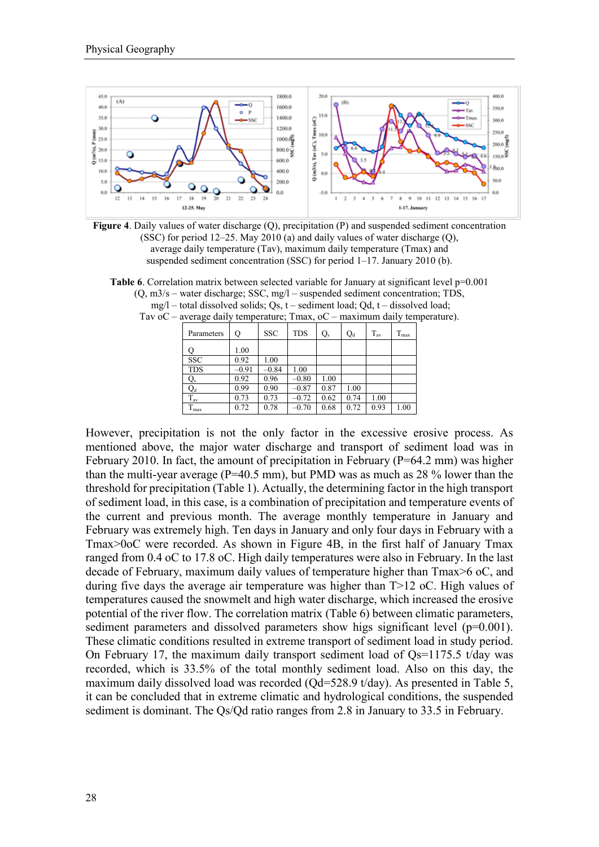



**Table 6.** Correlation matrix between selected variable for January at significant level  $p=0.001$ (Q, m3/s – water discharge; SSC, mg/l – suspended sediment concentration; TDS, mg/l – total dissolved solids; Qs, t – sediment load; Qd, t – dissolved load; Tav oC – average daily temperature; Tmax, oC – maximum daily temperature).

| Parameters    | Q       | <b>SSC</b> | <b>TDS</b> | Q,   | $Q_d$ | $T_{\rm av}$ | $T_{\rm max}$ |
|---------------|---------|------------|------------|------|-------|--------------|---------------|
|               | 1.00    |            |            |      |       |              |               |
| <b>SSC</b>    | 0.92    | 1.00       |            |      |       |              |               |
| <b>TDS</b>    | $-0.91$ | $-0.84$    | 1.00       |      |       |              |               |
| Q,            | 0.92    | 0.96       | $-0.80$    | 1.00 |       |              |               |
| $Q_d$         | 0.99    | 0.90       | $-0.87$    | 0.87 | 1.00  |              |               |
| $T_{\rm av}$  | 0.73    | 0.73       | $-0.72$    | 0.62 | 0.74  | 1.00         |               |
| $T_{\rm max}$ | 0.72    | 0.78       | $-0.70$    | 0.68 | 0.72  | 0.93         | 1.00          |

However, precipitation is not the only factor in the excessive erosive process. As mentioned above, the major water discharge and transport of sediment load was in February 2010. In fact, the amount of precipitation in February ( $P=64.2$  mm) was higher than the multi-year average ( $P=40.5$  mm), but PMD was as much as 28 % lower than the threshold for precipitation (Table 1). Actually, the determining factor in the high transport of sediment load, in this case, is a combination of precipitation and temperature events of the current and previous month. The average monthly temperature in January and February was extremely high. Ten days in January and only four days in February with a Tmax>0oC were recorded. As shown in Figure 4B, in the first half of January Tmax ranged from 0.4 oC to 17.8 oC. High daily temperatures were also in February. In the last decade of February, maximum daily values of temperature higher than Tmax>6 oC, and during five days the average air temperature was higher than  $T>12$  oC. High values of temperatures caused the snowmelt and high water discharge, which increased the erosive potential of the river flow. The correlation matrix (Table 6) between climatic parameters, sediment parameters and dissolved parameters show higs significant level  $(p=0.001)$ . These climatic conditions resulted in extreme transport of sediment load in study period. On February 17, the maximum daily transport sediment load of  $Qs=1175.5$  t/day was recorded, which is 33.5% of the total monthly sediment load. Also on this day, the maximum daily dissolved load was recorded (Qd=528.9 t/day). As presented in Table 5, it can be concluded that in extreme climatic and hydrological conditions, the suspended sediment is dominant. The Qs/Qd ratio ranges from 2.8 in January to 33.5 in February.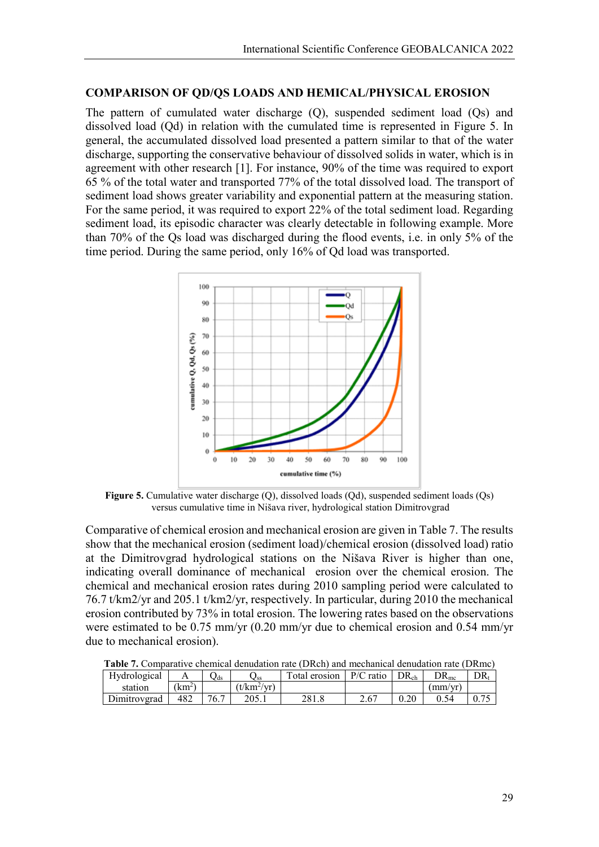## **COMPARISON OF QD/QS LOADS AND HEMICAL/PHYSICAL EROSION**

The pattern of cumulated water discharge (Q), suspended sediment load (Qs) and dissolved load (Qd) in relation with the cumulated time is represented in Figure 5. In general, the accumulated dissolved load presented a pattern similar to that of the water discharge, supporting the conservative behaviour of dissolved solids in water, which is in agreement with other research [1]. For instance, 90% of the time was required to export 65 % of the total water and transported 77% of the total dissolved load. The transport of sediment load shows greater variability and exponential pattern at the measuring station. For the same period, it was required to export 22% of the total sediment load. Regarding sediment load, its episodic character was clearly detectable in following example. More than 70% of the Qs load was discharged during the flood events, i.e. in only 5% of the time period. During the same period, only 16% of Qd load was transported.



**Figure 5.** Cumulative water discharge (Q), dissolved loads (Qd), suspended sediment loads (Qs) versus cumulative time in Nišava river, hydrological station Dimitrovgrad

Comparative of chemical erosion and mechanical erosion are given in Table 7. The results show that the mechanical erosion (sediment load)/chemical erosion (dissolved load) ratio at the Dimitrovgrad hydrological stations on the Nišava River is higher than one, indicating overall dominance of mechanical erosion over the chemical erosion. The chemical and mechanical erosion rates during 2010 sampling period were calculated to 76.7 t/km2/yr and 205.1 t/km2/yr, respectively. In particular, during 2010 the mechanical erosion contributed by 73% in total erosion. The lowering rates based on the observations were estimated to be 0.75 mm/yr (0.20 mm/yr due to chemical erosion and 0.54 mm/yr due to mechanical erosion).

| Tabit 7. Combarative enemical denduation rate (DRCn) and meemanical denduation rate (DRIne) |                 |      |               |               |             |                  |                   |        |  |  |
|---------------------------------------------------------------------------------------------|-----------------|------|---------------|---------------|-------------|------------------|-------------------|--------|--|--|
| Hydrological                                                                                |                 | ✔ds  | <b>∠</b> ss   | Total erosion | $P/C$ ratio | DR <sub>ch</sub> | $\rm DR_{\rm mc}$ | $DR_t$ |  |  |
| station                                                                                     | $\mathrm{km^2}$ |      | $(t/km^2/yr)$ |               |             |                  | (mm/vr)           |        |  |  |
| Dimitroverad                                                                                | 482             | 76.7 | 205.1         | 281.8         | 2.67        |                  | 0.54              |        |  |  |

**Table 7.** Comparative chemical denudation rate (DRch) and mechanical denudation rate (DRmc)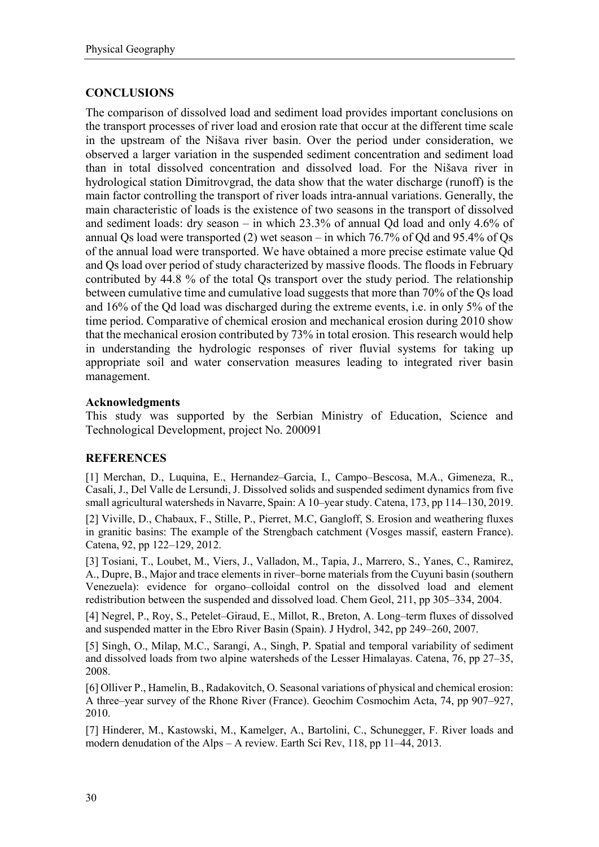# **CONCLUSIONS**

The comparison of dissolved load and sediment load provides important conclusions on the transport processes of river load and erosion rate that occur at the different time scale in the upstream of the Nišava river basin. Over the period under consideration, we observed a larger variation in the suspended sediment concentration and sediment load than in total dissolved concentration and dissolved load. For the Nišava river in hydrological station Dimitrovgrad, the data show that the water discharge (runoff) is the main factor controlling the transport of river loads intra-annual variations. Generally, the main characteristic of loads is the existence of two seasons in the transport of dissolved and sediment loads: dry season – in which 23.3% of annual Qd load and only 4.6% of annual Qs load were transported (2) wet season – in which 76.7% of Qd and 95.4% of Qs of the annual load were transported. We have obtained a more precise estimate value Qd and Qs load over period of study characterized by massive floods. The floods in February contributed by 44.8 % of the total Qs transport over the study period. The relationship between cumulative time and cumulative load suggests that more than 70% of the Qs load and 16% of the Qd load was discharged during the extreme events, i.e. in only 5% of the time period. Comparative of chemical erosion and mechanical erosion during 2010 show that the mechanical erosion contributed by 73% in total erosion. This research would help in understanding the hydrologic responses of river fluvial systems for taking up appropriate soil and water conservation measures leading to integrated river basin management.

# **Acknowledgments**

This study was supported by the Serbian Ministry of Education, Science and Technological Development, project No. 200091

# **REFERENCES**

[1] Merchan, D., Luquina, E., Hernandez–Garcia, I., Campo–Bescosa, M.A., Gimeneza, R., Casali, J., Del Valle de Lersundi, J. Dissolved solids and suspended sediment dynamics from five small agricultural watersheds in Navarre, Spain: A 10–year study. Catena, 173, pp 114–130, 2019.

[2] Viville, D., Chabaux, F., Stille, P., Pierret, M.C, Gangloff, S. Erosion and weathering fluxes in granitic basins: The example of the Strengbach catchment (Vosges massif, eastern France). Catena, 92, pp 122–129, 2012.

[3] Tosiani, T., Loubet, M., Viers, J., Valladon, M., Tapia, J., Marrero, S., Yanes, C., Ramirez, A., Dupre, B., Major and trace elements in river–borne materials from the Cuyuni basin (southern Venezuela): evidence for organo–colloidal control on the dissolved load and element redistribution between the suspended and dissolved load. Chem Geol, 211, pp 305–334, 2004.

[4] Negrel, P., Roy, S., Petelet–Giraud, E., Millot, R., Breton, A. Long–term fluxes of dissolved and suspended matter in the Ebro River Basin (Spain). J Hydrol, 342, pp 249–260, 2007.

[5] Singh, O., Milap, M.C., Sarangi, A., Singh, P. Spatial and temporal variability of sediment and dissolved loads from two alpine watersheds of the Lesser Himalayas. Catena, 76, pp 27–35, 2008.

[6] Olliver P., Hamelin, B., Radakovitch, O. Seasonal variations of physical and chemical erosion: A three–year survey of the Rhone River (France). Geochim Cosmochim Acta, 74, pp 907–927, 2010.

[7] Hinderer, M., Kastowski, M., Kamelger, A., Bartolini, C., Schunegger, F. River loads and modern denudation of the Alps – A review. Earth Sci Rev, 118, pp 11–44, 2013.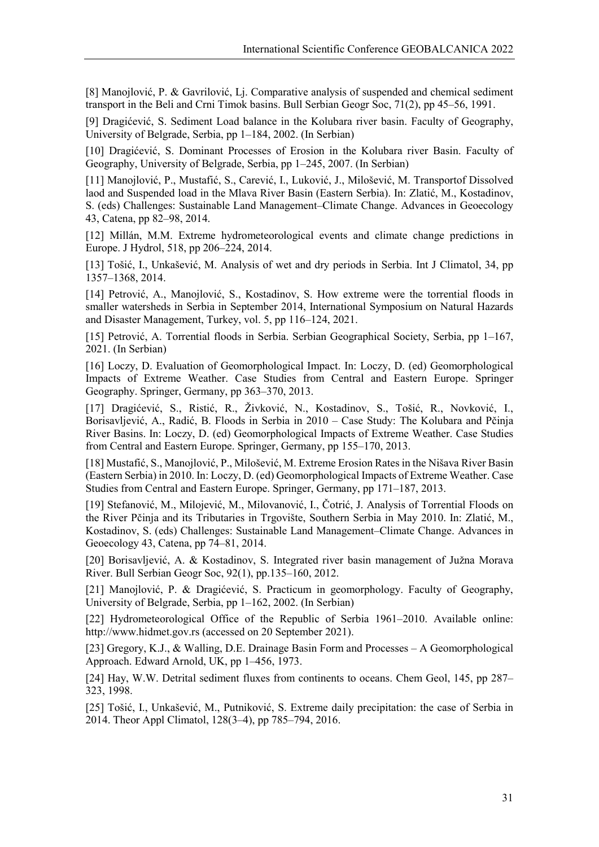[8] Manojlović, P. & Gavrilović, Lj. Comparative analysis of suspended and chemical sediment transport in the Beli and Crni Timok basins. Bull Serbian Geogr Soc, 71(2), pp 45–56, 1991.

[9] Dragićević, S. Sediment Load balance in the Kolubara river basin. Faculty of Geography, University of Belgrade, Serbia, pp 1–184, 2002. (In Serbian)

[10] Dragićević, S. Dominant Processes of Erosion in the Kolubara river Basin. Faculty of Geography, University of Belgrade, Serbia, pp 1–245, 2007. (In Serbian)

[11] Manojlović, P., Mustafić, S., Carević, I., Luković, J., Milošević, M. Transportof Dissolved laod and Suspended load in the Mlava River Basin (Eastern Serbia). In: Zlatić, M., Kostadinov, S. (eds) Challenges: Sustainable Land Management–Climate Change. Advances in Geoecology 43, Catena, pp 82–98, 2014.

[12] Millán, M.M. Extreme hydrometeorological events and climate change predictions in Europe. J Hydrol, 518, pp 206–224, 2014.

[13] Tošić, I., Unkašević, M. Analysis of wet and dry periods in Serbia. Int J Climatol, 34, pp 1357–1368, 2014.

[14] Petrović, A., Manojlović, S., Kostadinov, S. How extreme were the torrential floods in smaller watersheds in Serbia in September 2014, International Symposium on Natural Hazards and Disaster Management, Turkey, vol. 5, pp 116–124, 2021.

[15] Petrović, A. Torrential floods in Serbia. Serbian Geographical Society, Serbia, pp 1–167, 2021. (In Serbian)

[16] Loczy, D. Evaluation of Geomorphological Impact. In: Loczy, D. (ed) Geomorphological Impacts of Extreme Weather. Case Studies from Central and Eastern Europe. Springer Geography. Springer, Germany, pp 363–370, 2013.

[17] Dragićević, S., Ristić, R., Živković, N., Kostadinov, S., Tošić, R., Novković, I., Borisavljević, A., Radić, B. Floods in Serbia in 2010 – Case Study: The Kolubara and Pčinja River Basins. In: Loczy, D. (ed) Geomorphological Impacts of Extreme Weather. Case Studies from Central and Eastern Europe. Springer, Germany, pp 155–170, 2013.

[18] Mustafić, S., Manojlović, P., Milošević, M. Extreme Erosion Rates in the Nišava River Basin (Eastern Serbia) in 2010. In: Loczy, D. (ed) Geomorphological Impacts of Extreme Weather. Case Studies from Central and Eastern Europe. Springer, Germany, pp 171–187, 2013.

[19] Stefanović, M., Milojević, M., Milovanović, I., Čotrić, J. Analysis of Torrential Floods on the River Pčinja and its Tributaries in Trgovište, Southern Serbia in May 2010. In: Zlatić, M., Kostadinov, S. (eds) Challenges: Sustainable Land Management–Climate Change. Advances in Geoecology 43, Catena, pp 74–81, 2014.

[20] Borisavljević, A. & Kostadinov, S. Integrated river basin management of Južna Morava River. Bull Serbian Geogr Soc, 92(1), pp.135–160, 2012.

[21] Manojlović, P. & Dragićević, S. Practicum in geomorphology. Faculty of Geography, University of Belgrade, Serbia, pp 1–162, 2002. (In Serbian)

[22] Hydrometeorological Office of the Republic of Serbia 1961–2010. Available online: http://www.hidmet.gov.rs (accessed on 20 September 2021).

[23] Gregory, K.J., & Walling, D.E. Drainage Basin Form and Processes – A Geomorphological Approach. Edward Arnold, UK, pp 1–456, 1973.

[24] Hay, W.W. Detrital sediment fluxes from continents to oceans. Chem Geol, 145, pp 287– 323, 1998.

[25] Tošić, I., Unkašević, M., Putniković, S. Extreme daily precipitation: the case of Serbia in 2014. Theor Appl Climatol, 128(3–4), pp 785–794, 2016.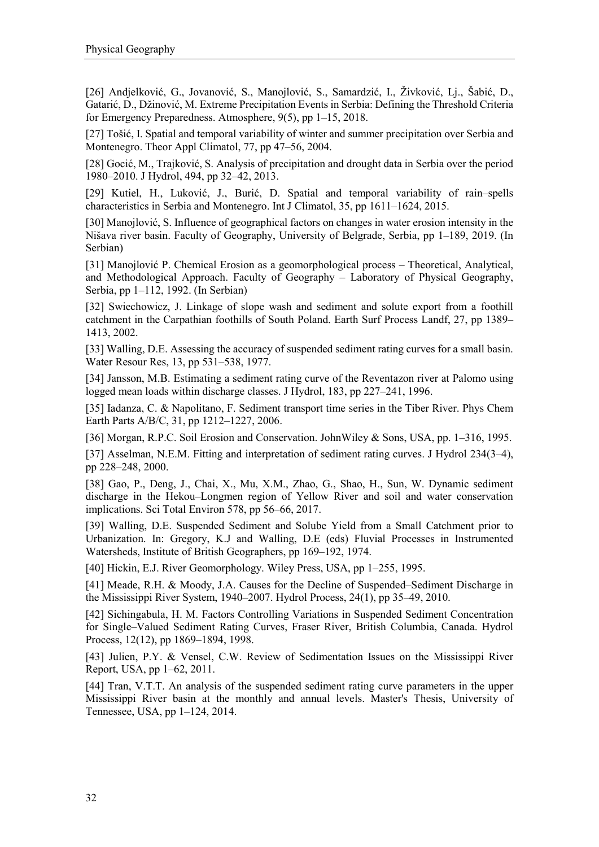[26] Andjelković, G., Jovanović, S., Manojlović, S., Samardzić, I., Živković, Lj., Šabić, D., Gatarić, D., Džinović, M. Extreme Precipitation Events in Serbia: Defining the Threshold Criteria for Emergency Preparedness. Atmosphere, 9(5), pp 1–15, 2018.

[27] Tošić, I. Spatial and temporal variability of winter and summer precipitation over Serbia and Montenegro. Theor Appl Climatol, 77, pp 47–56, 2004.

[28] Gocić, M., Trajković, S. Analysis of precipitation and drought data in Serbia over the period 1980–2010. J Hydrol, 494, pp 32–42, 2013.

[29] Kutiel, H., Luković, J., Burić, D. Spatial and temporal variability of rain–spells characteristics in Serbia and Montenegro. Int J Climatol, 35, pp 1611–1624, 2015.

[30] Manojlović, S. Influence of geographical factors on changes in water erosion intensity in the Nišava river basin. Faculty of Geography, University of Belgrade, Serbia, pp 1–189, 2019. (In Serbian)

[31] Manojlović P. Chemical Erosion as a geomorphological process – Theoretical, Analytical, and Methodological Approach. Faculty of Geography – Laboratory of Physical Geography, Serbia, pp 1–112, 1992. (In Serbian)

[32] Swiechowicz, J. Linkage of slope wash and sediment and solute export from a foothill catchment in the Carpathian foothills of South Poland. Earth Surf Process Landf, 27, pp 1389– 1413, 2002.

[33] Walling, D.E. Assessing the accuracy of suspended sediment rating curves for a small basin. Water Resour Res, 13, pp 531–538, 1977.

[34] Jansson, M.B. Estimating a sediment rating curve of the Reventazon river at Palomo using logged mean loads within discharge classes. J Hydrol, 183, pp 227–241, 1996.

[35] Iadanza, C. & Napolitano, F. Sediment transport time series in the Tiber River. Phys Chem Earth Parts A/B/C, 31, pp 1212–1227, 2006.

[36] Morgan, R.P.C. Soil Erosion and Conservation. JohnWiley & Sons, USA, pp. 1–316, 1995.

[37] Asselman, N.E.M. Fitting and interpretation of sediment rating curves. J Hydrol 234(3–4), pp 228–248, 2000.

[38] Gao, P., Deng, J., Chai, X., Mu, X.M., Zhao, G., Shao, H., Sun, W. Dynamic sediment discharge in the Hekou–Longmen region of Yellow River and soil and water conservation implications. Sci Total Environ 578, pp 56–66, 2017.

[39] Walling, D.E. Suspended Sediment and Solube Yield from a Small Catchment prior to Urbanization. In: Gregory, K.J and Walling, D.E (eds) Fluvial Processes in Instrumented Watersheds, Institute of British Geographers, pp 169–192, 1974.

[40] Hickin, E.J. River Geomorphology. Wiley Press, USA, pp 1–255, 1995.

[41] Meade, R.H. & Moody, J.A. Causes for the Decline of Suspended–Sediment Discharge in the Mississippi River System, 1940–2007. Hydrol Process, 24(1), pp 35–49, 2010.

[42] Sichingabula, H. M. Factors Controlling Variations in Suspended Sediment Concentration for Single–Valued Sediment Rating Curves, Fraser River, British Columbia, Canada. Hydrol Process, 12(12), pp 1869–1894, 1998.

[43] Julien, P.Y. & Vensel, C.W. Review of Sedimentation Issues on the Mississippi River Report, USA, pp 1–62, 2011.

[44] Tran, V.T.T. An analysis of the suspended sediment rating curve parameters in the upper Mississippi River basin at the monthly and annual levels. Master's Thesis, University of Tennessee, USA, pp 1–124, 2014.